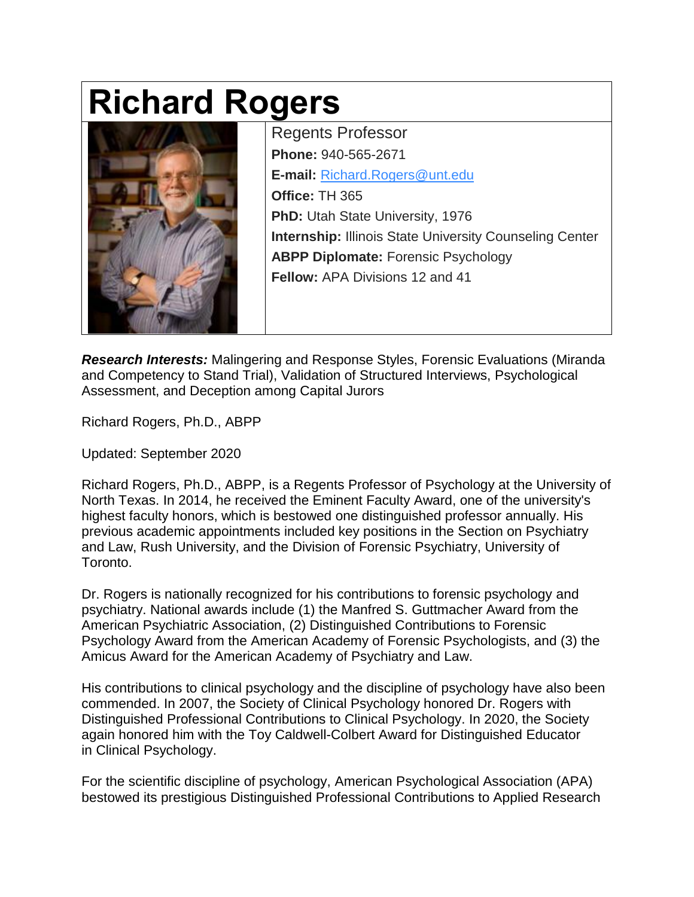## **Richard Rogers**



Regents Professor **Phone:** 940-565-2671 **E-mail:** [Richard.Rogers@unt.edu](mailto:Richard.Rogers@unt.edu) **Office:** TH 365 **PhD:** Utah State University, 1976 **Internship:** Illinois State University Counseling Center **ABPP Diplomate:** Forensic Psychology **Fellow:** APA Divisions 12 and 41

*Research Interests:* Malingering and Response Styles, Forensic Evaluations (Miranda and Competency to Stand Trial), Validation of Structured Interviews, Psychological Assessment, and Deception among Capital Jurors

Richard Rogers, Ph.D., ABPP

Updated: September 2020

Richard Rogers, Ph.D., ABPP, is a Regents Professor of Psychology at the University of North Texas. In 2014, he received the Eminent Faculty Award, one of the university's highest faculty honors, which is bestowed one distinguished professor annually. His previous academic appointments included key positions in the Section on Psychiatry and Law, Rush University, and the Division of Forensic Psychiatry, University of Toronto.

Dr. Rogers is nationally recognized for his contributions to forensic psychology and psychiatry. National awards include (1) the Manfred S. Guttmacher Award from the American Psychiatric Association, (2) Distinguished Contributions to Forensic Psychology Award from the American Academy of Forensic Psychologists, and (3) the Amicus Award for the American Academy of Psychiatry and Law.

His contributions to clinical psychology and the discipline of psychology have also been commended. In 2007, the Society of Clinical Psychology honored Dr. Rogers with Distinguished Professional Contributions to Clinical Psychology. In 2020, the Society again honored him with the Toy Caldwell-Colbert Award for Distinguished Educator in Clinical Psychology.

For the scientific discipline of psychology, American Psychological Association (APA) bestowed its prestigious Distinguished Professional Contributions to Applied Research